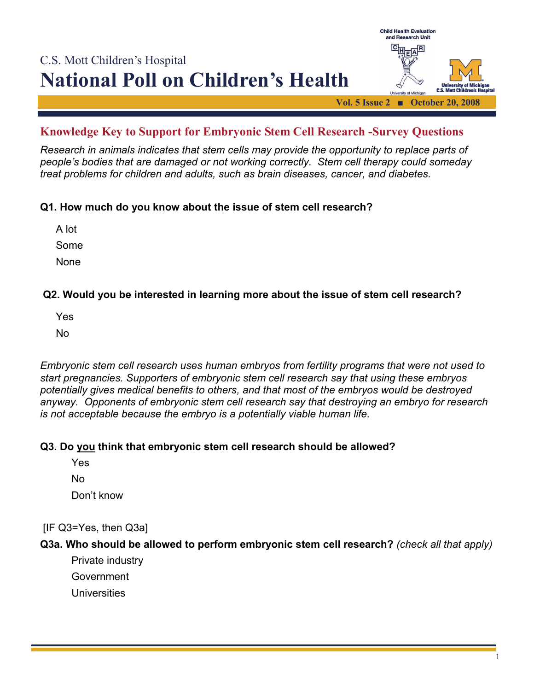

# **Knowledge Key to Support for Embryonic Stem Cell Research -Survey Questions**

*Research in animals indicates that stem cells may provide the opportunity to replace parts of people's bodies that are damaged or not working correctly. Stem cell therapy could someday treat problems for children and adults, such as brain diseases, cancer, and diabetes.* 

# **Q1. How much do you know about the issue of stem cell research?**

A lot Some None

# **Q2. Would you be interested in learning more about the issue of stem cell research?**

Yes

No

*Embryonic stem cell research uses human embryos from fertility programs that were not used to start pregnancies. Supporters of embryonic stem cell research say that using these embryos potentially gives medical benefits to others, and that most of the embryos would be destroyed anyway. Opponents of embryonic stem cell research say that destroying an embryo for research is not acceptable because the embryo is a potentially viable human life.* 

#### **Q3. Do you think that embryonic stem cell research should be allowed?**

Yes

No

Don't know

# [IF Q3=Yes, then Q3a]

# **Q3a. Who should be allowed to perform embryonic stem cell research?** *(check all that apply)*

Private industry

Government

**Universities**